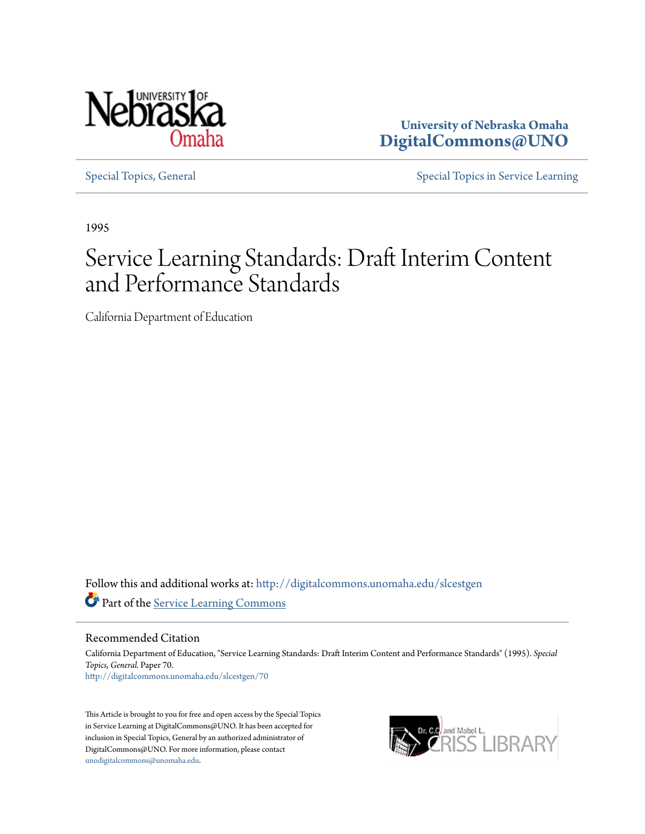

**University of Nebraska Omaha [DigitalCommons@UNO](http://digitalcommons.unomaha.edu?utm_source=digitalcommons.unomaha.edu%2Fslcestgen%2F70&utm_medium=PDF&utm_campaign=PDFCoverPages)**

[Special Topics, General](http://digitalcommons.unomaha.edu/slcestgen?utm_source=digitalcommons.unomaha.edu%2Fslcestgen%2F70&utm_medium=PDF&utm_campaign=PDFCoverPages) [Special Topics in Service Learning](http://digitalcommons.unomaha.edu/slcespecialtopics?utm_source=digitalcommons.unomaha.edu%2Fslcestgen%2F70&utm_medium=PDF&utm_campaign=PDFCoverPages)

1995

### Service Learning Standards: Draft Interim Content and Performance Standards

California Department of Education

Follow this and additional works at: [http://digitalcommons.unomaha.edu/slcestgen](http://digitalcommons.unomaha.edu/slcestgen?utm_source=digitalcommons.unomaha.edu%2Fslcestgen%2F70&utm_medium=PDF&utm_campaign=PDFCoverPages) Part of the [Service Learning Commons](http://network.bepress.com/hgg/discipline/1024?utm_source=digitalcommons.unomaha.edu%2Fslcestgen%2F70&utm_medium=PDF&utm_campaign=PDFCoverPages)

Recommended Citation

California Department of Education, "Service Learning Standards: Draft Interim Content and Performance Standards" (1995). *Special Topics, General.* Paper 70. [http://digitalcommons.unomaha.edu/slcestgen/70](http://digitalcommons.unomaha.edu/slcestgen/70?utm_source=digitalcommons.unomaha.edu%2Fslcestgen%2F70&utm_medium=PDF&utm_campaign=PDFCoverPages)

This Article is brought to you for free and open access by the Special Topics in Service Learning at DigitalCommons@UNO. It has been accepted for inclusion in Special Topics, General by an authorized administrator of DigitalCommons@UNO. For more information, please contact [unodigitalcommons@unomaha.edu](mailto:unodigitalcommons@unomaha.edu).

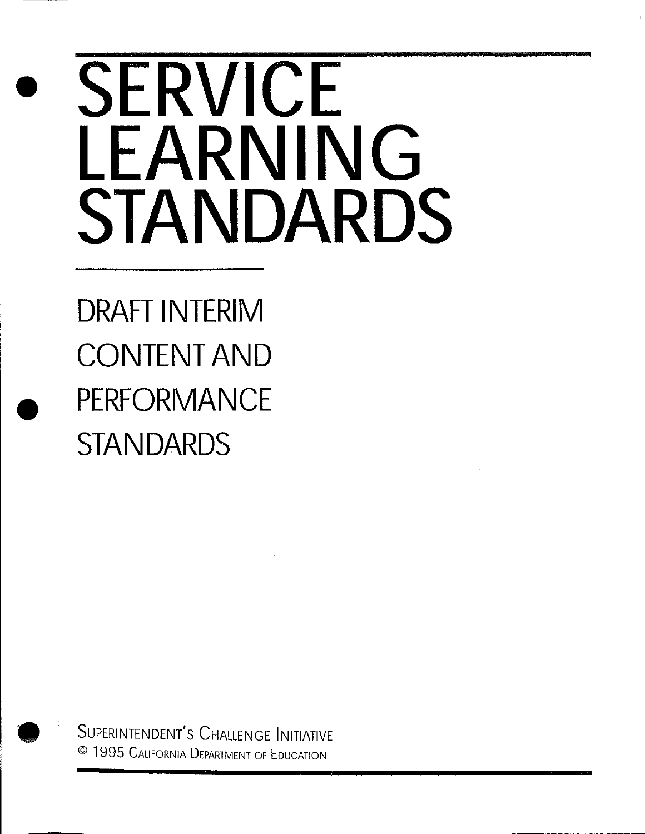# • **SERVICE LEARNING STANDARDS**

**DRAFT INTERIM CONTENT AND e PERFORMANCE STANDARDS** 



SUPERINTENDENT'S CHALLENGE INITIATIVE © 1995 CALIFORNIA DEPARTMENT OF EDUCATION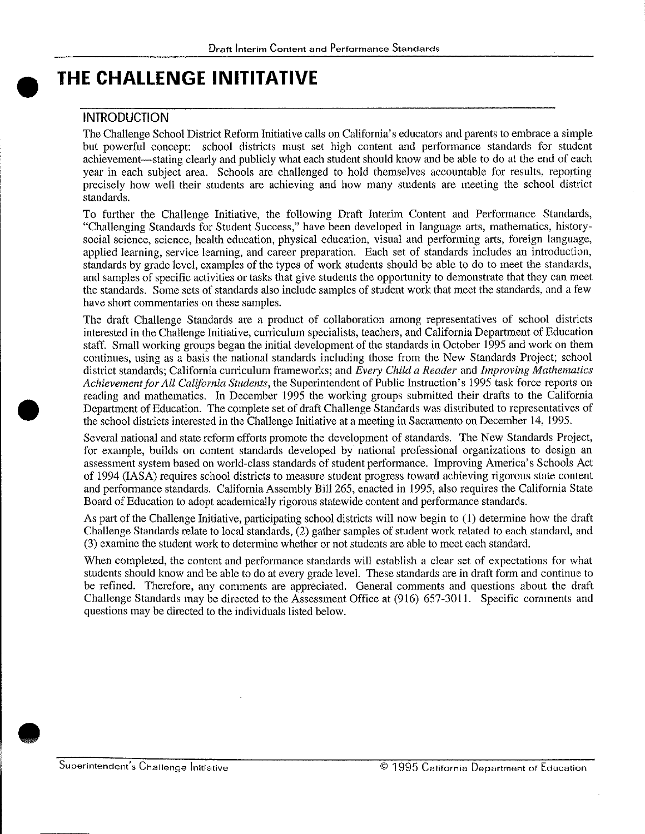# $\bullet$ <sup>1</sup> **THE CHALLENGE INITITATIVE**

#### INTRODUCTION

•

The Challenge School District Reform Initiative calls on California's educators and parents to embrace a simple but powerful concept: school districts must set high content and performance standards for student achievement-stating clearly and publicly what each student should know and be able to do at the end of each year in each subject area. Schools are challenged to hold themselves accountable for results, reporting precisely how well their students are achieving and how many students are meeting the school district standards.

To further the Challenge Initiative, the following Draft Interim Content and Performance Standards, "Challenging Standards for Student Success," have been developed in language arts, mathematics, historysocial science, science, health education, physical education, visual and performing arts, foreign language, applied learning, service learning, and career preparation. Each set of standards includes an introduction, standards by grade level, examples of the types of work students should be able to do to meet the standards, and samples of specific activities or tasks that give students the opportunity to demonstrate that they can meet the standards. Some sets of standards also include samples of student work that meet the standards, and a few have short commentaries on these samples.

The draft Challenge Standards are a product of collaboration among representatives of school districts interested in the Challenge Initiative, curriculum specialists, teachers, and California Department of Education staff. Small working groups began the initial development of the standards in October 1995 and work on them continues, using as a basis the national standards including those from the New Standards Project; school district standards; California curriculum frameworks; and *Every Child a Reader* and *Improving Mathematics Achievement for All California Students,* the Superintendent of Public Instruction's 1995 task force reports on reading and mathematics. In December 1995 the working groups submitted their drafts to the California Department of Education. The complete set of draft Challenge Standards was distributed to representatives of the school districts interested in the Challenge Initiative at a meeting in Sacramento on December 14, 1995.

Several national and state reform efforts promote the development of standards. The New Standards Project, for example, builds on content standards developed by national professional organizations to design an assessment system based on world-class standards of student performance. Improving America's Schools Act of 1994 (IASA) requires school districts to measure student progress toward achieving rigorous state content and performance standards. California Assembly Bill 265, enacted in 1995, also requires the California State Board of Education to adopt academically rigorous statewide content and performance standards.

As part of the Challenge Initiative, participating school districts will now begin to (I) determine how the draft Challenge Standards relate to local standards, (2) gather samples of student work related to each standard, and (3) examine the student work to determine whether or not students are able to meet each standard.

When completed, the content and performance standards will establish a clear set of expectations for what students should know and be able to do at every grade level. These standards are in draft form and continue to be refined. Therefore, any comments are appreciated. General comments and questions about the draft Challenge Standards may be directed to the Assessment Office at (916) 657-3011. Specific comments and questions may be directed to the individuals listed below .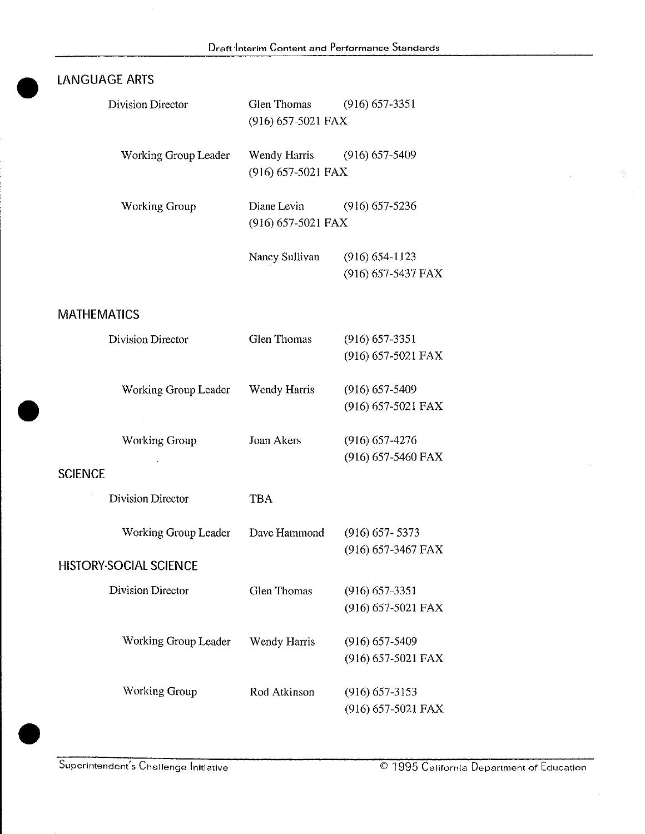# $\bullet$ lANGUAGE ARTS

| Division Director    | Glen Thomas<br>$(916)$ 657-5021 FAX                     | $(916)$ 657-3351                           |  |
|----------------------|---------------------------------------------------------|--------------------------------------------|--|
| Working Group Leader | Wendy Harris<br>$(916)$ 657-5021 FAX                    | $(916) 657 - 5409$                         |  |
| <b>Working Group</b> | Diane Levin<br>$(916)$ 657-5236<br>$(916)$ 657-5021 FAX |                                            |  |
|                      | Nancy Sullivan                                          | $(916) 654 - 1123$<br>$(916)$ 657-5437 FAX |  |

#### MATHEMATICS

| <b>Division Director</b>              | <b>Glen Thomas</b>  | $(916)$ 657-3351   |
|---------------------------------------|---------------------|--------------------|
|                                       |                     | (916) 657-5021 FAX |
| Working Group Leader                  | <b>Wendy Harris</b> | $(916)$ 657-5409   |
|                                       |                     | (916) 657-5021 FAX |
| <b>Working Group</b>                  | Joan Akers          | $(916)$ 657-4276   |
| <b>SCIENCE</b>                        |                     | (916) 657-5460 FAX |
|                                       |                     |                    |
| Division Director                     | <b>TBA</b>          |                    |
| Working Group Leader                  | Dave Hammond        | $(916) 657 - 5373$ |
| <b>HISTORY-SOCIAL SCIENCE</b>         |                     | (916) 657-3467 FAX |
| <b>Division Director</b>              | Glen Thomas         | $(916)$ 657-3351   |
|                                       |                     | (916) 657-5021 FAX |
| Working Group Leader                  | Wendy Harris        | $(916) 657 - 5409$ |
|                                       |                     | (916) 657-5021 FAX |
| Working Group                         | Rod Atkinson        | $(916) 657 - 3153$ |
|                                       |                     | (916) 657-5021 FAX |
|                                       |                     |                    |
| Superintendent's Challenge Initiative |                     | © 1995 Califo      |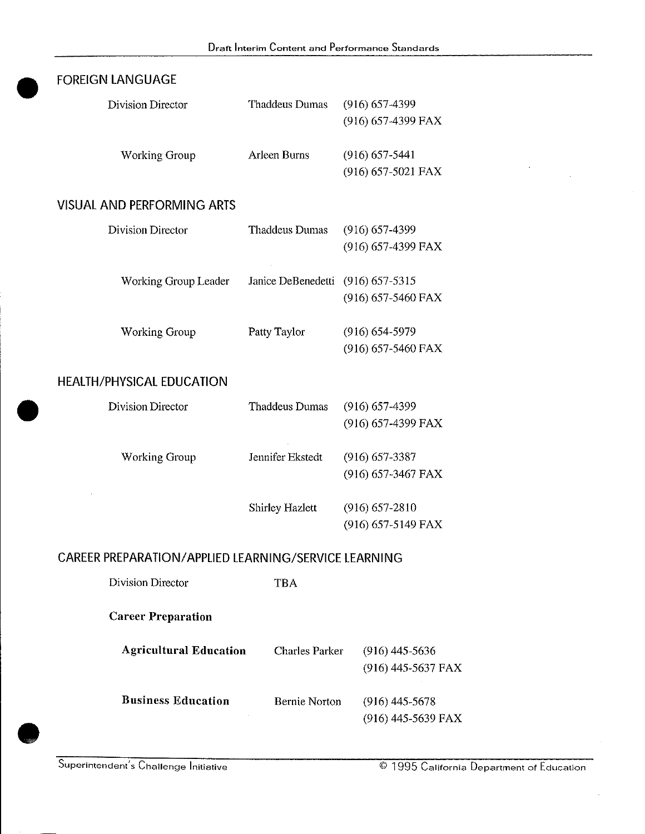| <b>FOREIGN LANGUAGE</b>                              |                                   |                    |
|------------------------------------------------------|-----------------------------------|--------------------|
| Division Director                                    | Thaddeus Dumas                    | $(916)$ 657-4399   |
|                                                      |                                   | (916) 657-4399 FAX |
| <b>Working Group</b>                                 | Arleen Burns                      | $(916)$ 657-5441   |
|                                                      |                                   | (916) 657-5021 FAX |
| <b>VISUAL AND PERFORMING ARTS</b>                    |                                   |                    |
| <b>Division Director</b>                             | <b>Thaddeus Dumas</b>             | $(916)$ 657-4399   |
|                                                      |                                   | (916) 657-4399 FAX |
| Working Group Leader                                 | Janice DeBenedetti (916) 657-5315 |                    |
|                                                      |                                   | (916) 657-5460 FAX |
| Working Group                                        | Patty Taylor                      | $(916) 654 - 5979$ |
|                                                      |                                   | (916) 657-5460 FAX |
| <b>HEALTH/PHYSICAL EDUCATION</b>                     |                                   |                    |
| <b>Division Director</b>                             | <b>Thaddeus Dumas</b>             | $(916)$ 657-4399   |
|                                                      |                                   | (916) 657-4399 FAX |
| <b>Working Group</b>                                 | Jennifer Ekstedt                  | $(916)$ 657-3387   |
|                                                      |                                   | (916) 657-3467 FAX |
|                                                      | Shirley Hazlett                   | $(916) 657 - 2810$ |
|                                                      |                                   | (916) 657-5149 FAX |
| CAREER PREPARATION/APPLIED LEARNING/SERVICE LEARNING |                                   |                    |
| Division Director                                    | <b>TBA</b>                        |                    |
| <b>Career Preparation</b>                            |                                   |                    |
| <b>Agricultural Education</b>                        | <b>Charles Parker</b>             | $(916)$ 445-5636   |
|                                                      |                                   | (916) 445-5637 FAX |
| <b>Business Education</b>                            | <b>Bernie Norton</b>              | $(916)$ 445-5678   |
|                                                      |                                   | (916) 445-5639 FAX |
|                                                      |                                   |                    |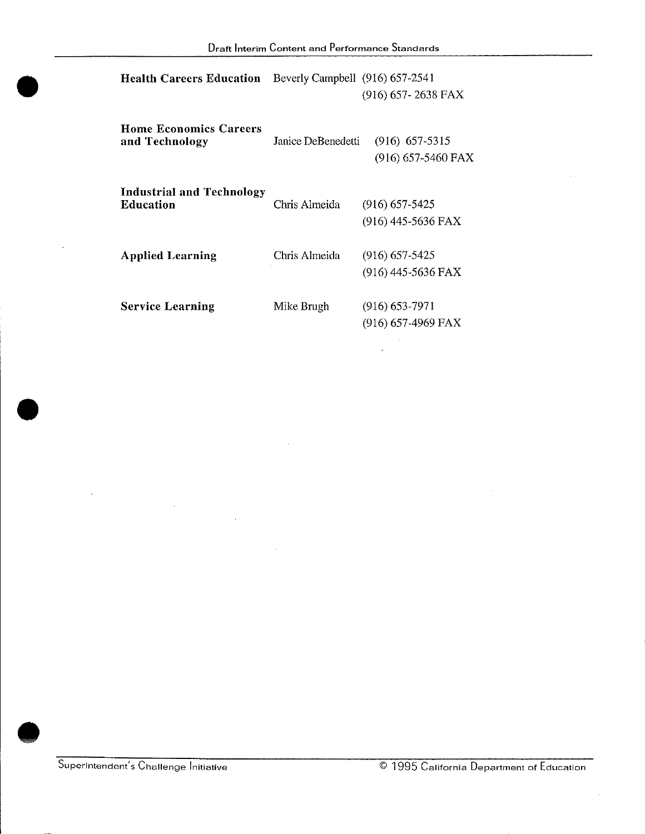| <b>Health Careers Education</b>                 | Beverly Campbell (916) 657-2541 | $(916)$ 657-2638 FAX                     |
|-------------------------------------------------|---------------------------------|------------------------------------------|
| <b>Home Economics Careers</b><br>and Technology | Janice DeBenedetti              | $(916)$ 657-5315<br>$(916)$ 657-5460 FAX |
| Industrial and Technology<br><b>Education</b>   | Chris Almeida                   | $(916)$ 657-5425<br>(916) 445-5636 FAX   |
| <b>Applied Learning</b>                         | Chris Almeida                   | $(916)$ 657-5425<br>$(916)$ 445-5636 FAX |
| <b>Service Learning</b>                         | Mike Brugh                      | $(916) 653 - 7971$<br>(916) 657-4969 FAX |

•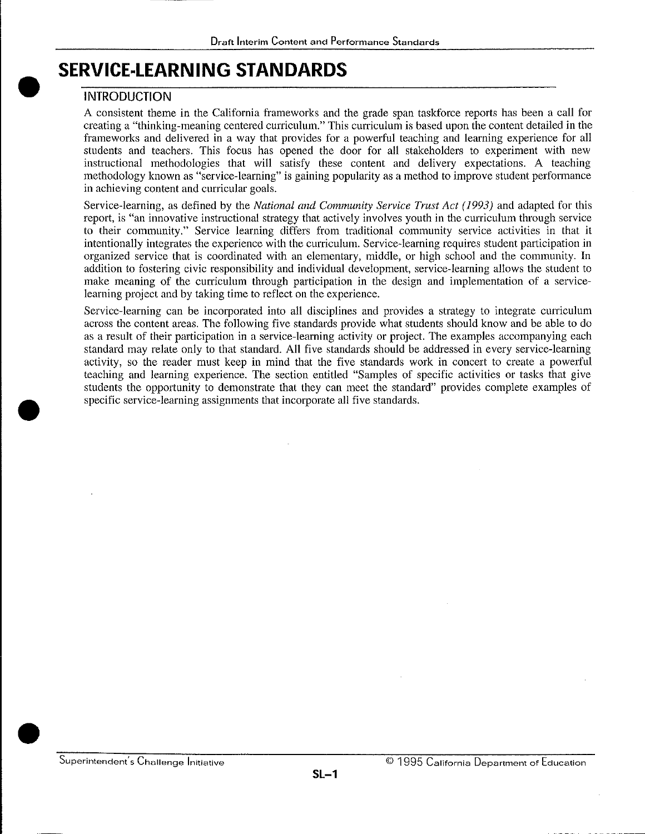# • S **SERVICE-LEARNING STANDARDS**

#### **INTRODUCTION**

•

A consistent theme in the California frameworks and the grade span taskforce reports has been a call for creating a "thinking-meaning centered curriculum." This curriculum is based upon the content detailed in the frameworks and delivered in a way that provides for a powerful teaching and learning experience for all students and teachers. This focus has opened the door for all stakeholders to experiment with new instructional methodologies that will satisfy these content and delivery expectations. A teaching methodology known as "service-learning" is gaining popularity as a method to improve student performance in achieving content and curricular goals.

Service-learning, as defined by the *National and Community Service Trust Act ( 1993)* and adapted for this report, is "an innovative instructional strategy that actively involves youth in the curriculum through service to their community." Service learning differs from traditional community service activities in that it intentionally integrates the experience with the curriculum. Service-learning requires student participation in organized service that is coordinated with an elementary, middle, or high school and the community. In addition to fostering civic responsibility and individual development, service-learning allows the student to make meaning of the curriculum through participation in the design and implementation of a servicelearning project and by taking time to reflect on the experience.

Service-learning can be incorporated into all disciplines and provides a strategy to integrate curriculum across the content areas. The following five standards provide what students should know and be able to do as a result of their participation in a service-learning activity or project. The examples accompanying each standard may relate only to that standard. All five standards should be addressed in every service-learning activity, so the reader must keep in mind that the five standards work in concert to create a powerful teaching and learning experience. The section entitled "Samples of specific activities or tasks that give students the opportunity to demonstrate that they can meet the standard" provides complete examples of specific service-learning assignments that incorporate all five standards.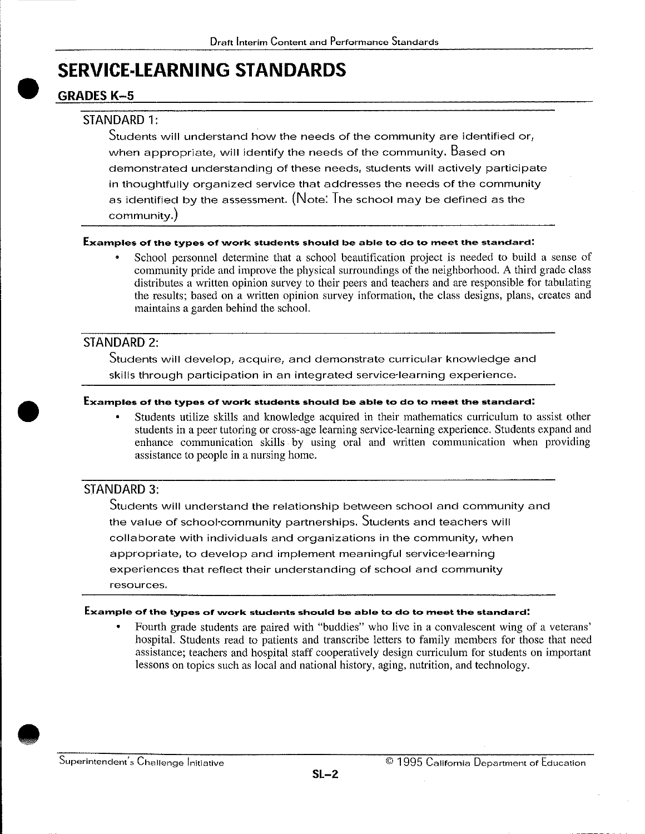# $\bullet$   $\frac{9}{9}$ **SERVICE-LEARNING STANDARDS**

#### **GRADES K-5**

#### STANDARD 1:

Students will understand how the needs of the community are identified or, when appropriate, will identify the needs of the community. Based on demonstrated understanding of these needs, students will actively participate in thoughtfully organized service that addresses the needs of the community as identified by the assessment. (Note: The school may be defined as the **community.)** 

#### **Examples of the types of work students should be able to do to meet the standard:**

• School personnel determine that a school beautification project is needed to build a sense of community pride and improve the physical surroundings of the neighborhood. A third grade class distributes a written opinion survey to their peers and teachers and are responsible for tabulating the results; based on a written opinion survey information, the class designs, plans, creates and maintains a garden behind the school.

#### STANDARD 2:

•

Students will develop, acquire, and demonstrate curricular knowledge and skills through participation in an integrated service-learning experience.

#### **Examples of the types of work students should be able to do to meet the standard:**

• Students utilize skills and knowledge acquired in their mathematics curriculum to assist other students in a peer tutoring or cross-age learning service-learning experience. Students expand and enhance communication skills. by using oral and written communication when providing assistance to people in a nursing home.

#### STANDARD 3:

Students will understand the relationship between school and community and the value of school-community partnerships. Students and teachers will collaborate with individuals and organizations in the community, when appropriate, to develop and implement meaningful service-learning experiences that reflect their understanding of school and community **resources.** 

#### **Example of the types of vvork students should be able to do to meet the standard:**

• Fourth grade students are paired with "buddies" who live in a convalescent wing of a veterans' hospital. Students read to patients and transcribe letters to family members for those that need assistance; teachers and hospital staff cooperatively design curriculum for students on important lessons on topics such as local and national history, aging, nutrition, and technology .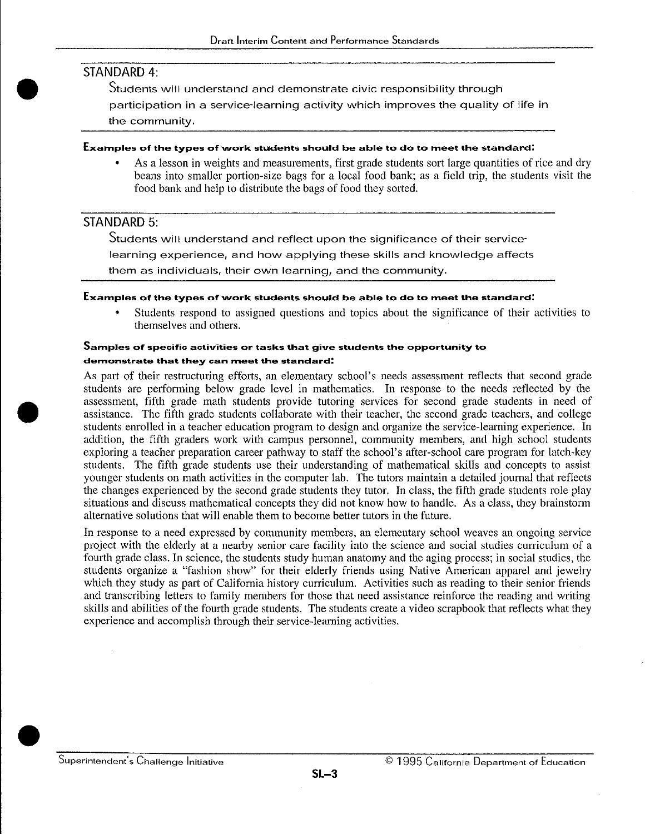#### STANDARD 4:

•

•

Students will understand and demonstrate civic responsibility through

participation in a service-learning activity which improves the quality of life in

the community.

#### $$

• As a lesson in weights and measurements, first grade students sort large quantities of rice and dry beans into smaller portion-size bags for a local food bank; as a field trip, the students visit the food bank and help to distribute the bags of food they sorted.

#### STANDARD 5:

Students will understand and reflect upon the significance of their service· learning experience, and how applying these skills and knowledge affects them as individuals, their own learning, and the community.

#### **Examples of the types of work students should be able to do to meet the standard:**

• Students respond to assigned questions and topics about the significance of their activities to themselves and others.

#### **Samples of specific activities or tasks that give students the opportunity to demonstrate that they can tneet the standard:**

As part of their restructuring efforts, an elementary school's needs assessment reflects that second grade students are performing below grade level in mathematics. In response to the needs reflected by the assessment, fifth grade math students provide tutoring services for second grade students in need of assistance. The fifth grade students collaborate with their teacher, the second grade teachers, and college students enrolled in a teacher education program to design and organize the service-learning experience. In addition, the fifth graders work with campus personnel, community members, and high school students exploring a teacher preparation career pathway to staff the school's after-school care program for latch-key students. The fifth grade students use their understanding of mathematical skills and concepts to assist younger students on math activities in the computer lab. The tutors maintain a detailed journal that reflects the changes experienced by the second grade students they tutor. In class, the fifth grade students role play situations and discuss mathematical concepts they did not know how to handle. As a class, they brainstorm alternative solutions that will enable them to become better tutors in the future.

In response to a need expressed by community members, an elementary school weaves an ongoing service project with the elderly at a nearby senior care facility into the science and social studies curriculum of a fourth grade class. In science, the students study human anatomy and the aging process; in social studies, the students organize a "fashion show" for their elderly friends using Native American apparel and jewelry which they study as part of California history curriculum. Activities such as reading to their senior friends and transcribing letters to family members for those that need assistance reinforce the reading and writing skills and abilities of the fourth grade students. The students create a video scrapbook that reflects what they experience and accomplish through their service-learning activities .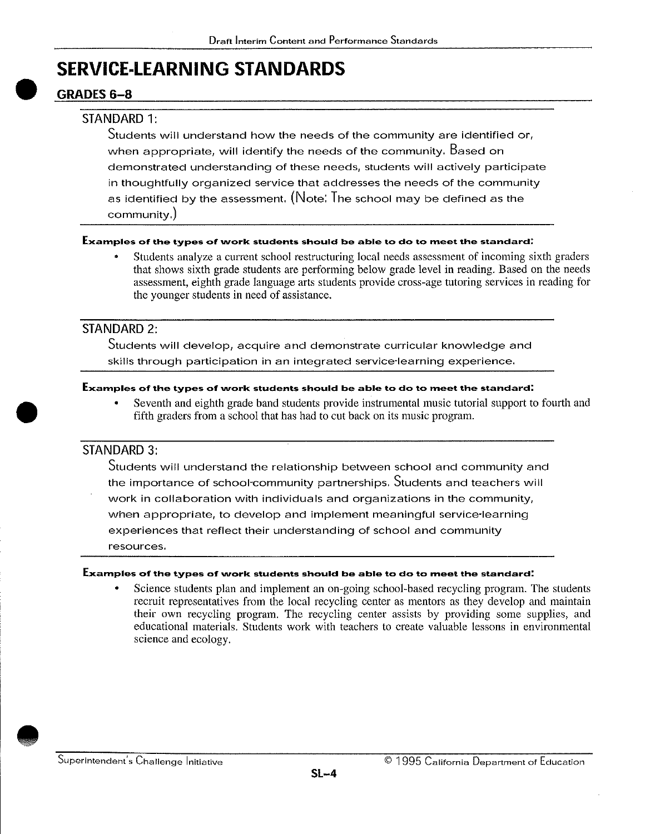# $\bullet$   $\frac{9}{4}$ **SERVICE-LEARNING STANDARDS**

### GRADES<sub>6-8</sub>

#### STANDARD 1:

Students will understand how the needs of the community are identified or, when appropriate, will identify the needs of the community. Based on demonstrated understanding of these needs, students will actively participate in thoughtfully organized service that addresses the needs of the community as identified by the assessment. (Note: The school may be defined as the community.)

#### **Examples of the types of work students should be able to do to meet the standard:**

• Students analyze a current school restructuring local needs assessment of incoming sixth graders that shows sixth grade students are performing below grade level in reading. Based on the needs assessment, eighth grade language arts students provide cross-age tutoring services in reading for the younger students in need of assistance.

#### STANDARD 2:

Students will develop, acquire and demonstrate curricular knowledge and skills through participation in an integrated service-learning experience.

#### **Examples of the types of work students should be able to do to meet the standard:**

• Seventh and eighth grade band students provide instrumental music tutorial support to fourth and fifth graders from a school that has had to cut back on its music program.

#### STANDARD 3:

•

Students will understand the relationship between school and community and the importance of school-community partnerships. Students and teachers will work in collaboration with individuals and organizations in the community, when appropriate, to develop and implement meaningful service-learning experiences that reflect their understanding of school and community **resources.** 

#### **Examples of the types of \Nork students should be able to do to meet the standard:**

Science students plan and implement an on-going school-based recycling program. The students recruit representatives from the local recycling center as mentors as they develop and maintain their own recycling program. The recycling center assists by providing some supplies, and educational materials. Students work with teachers to create valuable lessons in environmental science and ecology.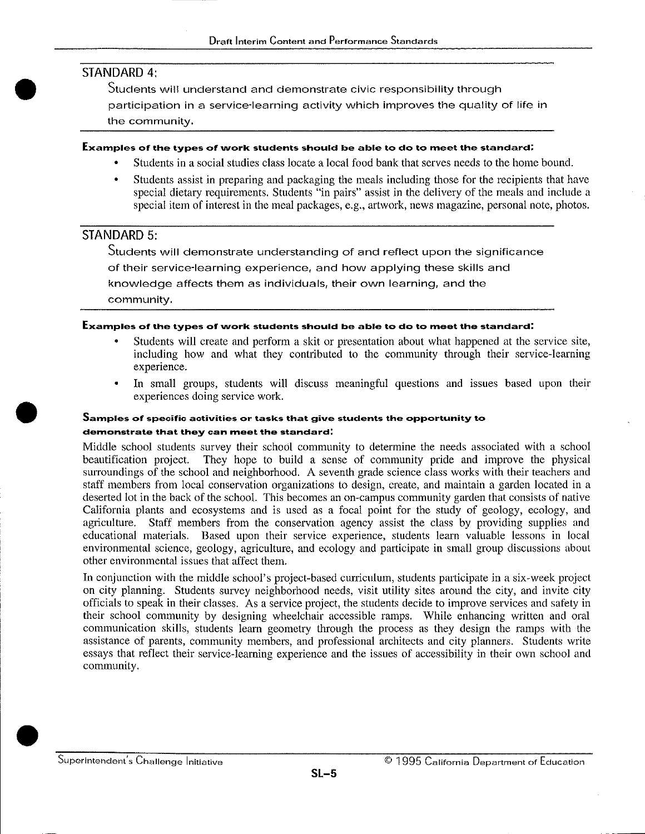#### STANDARD 4:

•

•

Students will understand and demonstrate civic responsibility through participation in a service-learning activity which improves the quality of life in the community.

#### **Examples of the types of vvork students should be able to do to meet the standard:**

- Students in a social studies class locate a local food bank that serves needs to the home bound.
- Students assist in preparing and packaging the meals including those for the recipients that have special dietary requirements. Students "in pairs" assist in the delivery of the meals and include a special item of interest in the meal packages, e.g., artwork, news magazine, personal note, photos.

#### STANDARD 5:

Students will demonstrate understanding of and reflect upon the significance of their service-learning experience, and how applying these skills and knowledge affects them as individuals, their own learning, and the community.

#### **Examples of the types of work students should be able to do to meet the standard:**

- Students will create and perform a skit or presentation about what happened at the service site, including how and what they contributed to the community through their service-learning experience.
- In small groups, students will discuss meaningful questions and issues based upon their experiences doing service work.

#### **Samples of specific activities or tasks that give students the opportunity to demonstrate that they can meet the standard:**

Middle school students survey their school community to determine the needs associated with a school beautification project. They hope to build a sense of community pride and improve the physical surroundings of the school and neighborhood. A seventh grade science class works with their teachers and staff members from local conservation organizations to design, create, and maintain a garden located in a deserted lot in the back of the school. This becomes an on-campus community garden that consists of native California plants and ecosystems and is used as a focal point for the study of geology, ecology, and agriculture. Staff members from the conservation agency assist the class by providing supplies and educational materials. Based upon their service experience, students learn valuable lessons in local environmental science, geology, agriculture, and ecology and participate in small group discussions about other environmental issues that affect them.

In conjunction with the middle school's project-based curriculum, students participate in a six-week project on city planning. Students survey neighborhood needs, visit utility sites around the city, and invite city officials to speak in their classes. As a service project, the students decide to improve services and safety in their school community by designing wheelchair accessible ramps. While enhancing written and oral communication skills, students learn geometry through the process as they design the ramps with the assistance of parents, community members, and professional architects and city planners. Students write essays that reflect their service-learning experience and the issues of accessibility in their own school and community .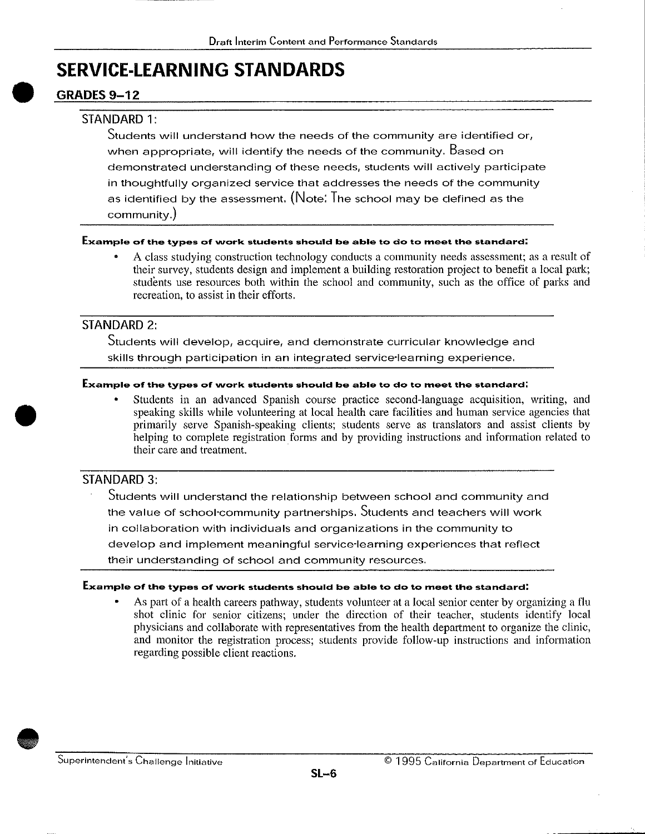### **SERVICE-LEARNING STANDARDS**

#### • **GRADES 9-12**

#### STANDARD 1:

Students will understand how the needs of the community are identified or, when appropriate, will identify the needs of the community. Based on demonstrated understanding of these needs, students will actively participate in thoughtfully organized service that addresses the needs of the community as identified by the assessment. (Note: The school may be defined as the community.)

#### **Example of the types of work students should be able to do to meet the standard:**

• A class studying construction technology conducts a community needs assessment; as a result of their survey, students design and implement a building restoration project to benefit a local park; students use resources both within the school and community, such as the office of parks and recreation, to assist in their efforts.

#### STANDARD 2:

Students will develop, acquire, and demonstrate curricular knowledge and skills through participation in an integrated service-learning experience.

#### **Example of the types of vvork students should be able to do to meet the standard:**

• Students in an advanced Spanish course practice second-language acquisition, writing, and speaking skills while volunteering at local health care facilities and human service agencies that primarily serve Spanish-speaking clients; students serve as translators and assist clients by helping to complete registration forms and by providing instructions and information related to their care and treatment.

#### STANDARD 3:

•

Students will understand the relationship between school and community and the value of school-community partnerships. Students and teachers will work in collaboration with individuals and organizations in the community to develop and implement meaningful service-learning experiences that reflect their understanding of school and community resources.

#### **Example of the types of work students should be able to do to meet the standard:**

• As part of a health careers pathway, students volunteer at a local senior center by organizing a flu shot clinic for senior citizens; under the direction of their teacher, students identify local physicians and collaborate with representatives from the health department to organize the clinic, and monitor the registration process; students provide follow-up instructions and information regarding possible client reactions .